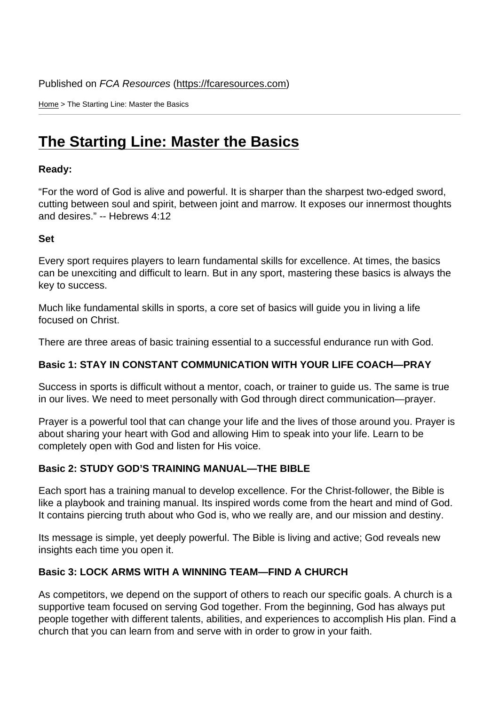Home > The Starting Line: Master the Basics

## [The](https://fcaresources.com/) Starting Line: Master the Basics

Ready:

["For the word of God is alive and powerful. It is sharper tha](https://fcaresources.com/devotional/starting-line-master-basics)n the sharpest two-edged sword, cutting between soul and spirit, between joint and marrow. It exposes our innermost thoughts and desires." -- Hebrews 4:12

Set

Every sport requires players to learn fundamental skills for excellence. At times, the basics can be unexciting and difficult to learn. But in any sport, mastering these basics is always the key to success.

Much like fundamental skills in sports, a core set of basics will guide you in living a life focused on Christ.

There are three areas of basic training essential to a successful endurance run with God.

Basic 1: STAY IN CONSTANT COMMUNICATION WITH YOUR LIFE COACH—PRAY

Success in sports is difficult without a mentor, coach, or trainer to guide us. The same is true in our lives. We need to meet personally with God through direct communication—prayer.

Prayer is a powerful tool that can change your life and the lives of those around you. Prayer is about sharing your heart with God and allowing Him to speak into your life. Learn to be completely open with God and listen for His voice.

Basic 2: STUDY GOD'S TRAINING MANUAL—THE BIBLE

Each sport has a training manual to develop excellence. For the Christ-follower, the Bible is like a playbook and training manual. Its inspired words come from the heart and mind of God. It contains piercing truth about who God is, who we really are, and our mission and destiny.

Its message is simple, yet deeply powerful. The Bible is living and active; God reveals new insights each time you open it.

Basic 3: LOCK ARMS WITH A WINNING TEAM—FIND A CHURCH

As competitors, we depend on the support of others to reach our specific goals. A church is a supportive team focused on serving God together. From the beginning, God has always put people together with different talents, abilities, and experiences to accomplish His plan. Find a church that you can learn from and serve with in order to grow in your faith.